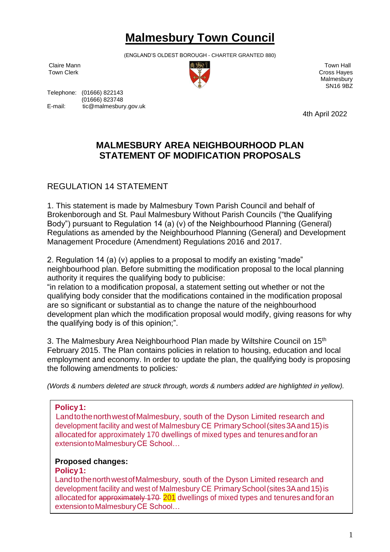(ENGLAND'S OLDEST BOROUGH - CHARTER GRANTED 880)

Claire Mann Town Hall Town Clerk Cross Hayes **Cross Hayes** Cross Hayes **Cross Hayes** Cross Hayes **Cross Hayes Malmesbury** SN16 9BZ

Telephone: (01666) 822143 (01666) 823748<br>E-mail: tic@malmeshur tic@malmesbury.gov.uk

4th April 2022

### **MALMESBURY AREA NEIGHBOURHOOD PLAN STATEMENT OF MODIFICATION PROPOSALS**

REGULATION 14 STATEMENT

1. This statement is made by Malmesbury Town Parish Council and behalf of Brokenborough and St. Paul Malmesbury Without Parish Councils ("the Qualifying Body") pursuant to Regulation 14 (a) (v) of the Neighbourhood Planning (General) Regulations as amended by the Neighbourhood Planning (General) and Development Management Procedure (Amendment) Regulations 2016 and 2017.

2. Regulation 14 (a) (v) applies to a proposal to modify an existing "made" neighbourhood plan. Before submitting the modification proposal to the local planning authority it requires the qualifying body to publicise:

"in relation to a modification proposal, a statement setting out whether or not the qualifying body consider that the modifications contained in the modification proposal are so significant or substantial as to change the nature of the neighbourhood development plan which the modification proposal would modify, giving reasons for why the qualifying body is of this opinion;".

3. The Malmesbury Area Neighbourhood Plan made by Wiltshire Council on 15<sup>th</sup> February 2015. The Plan contains policies in relation to housing, education and local employment and economy. In order to update the plan, the qualifying body is proposing the following amendments to policies*:* 

*(Words & numbers deleted are struck through, words & numbers added are highlighted in yellow).*

#### **Policy1:**

LandtothenorthwestofMalmesbury, south of the Dyson Limited research and development facility and west of Malmesbury CE Primary School (sites 3A and 15) is allocatedfor approximately 170 dwellings of mixed types and tenuresandforan extensiontoMalmesburyCE School…

#### **Proposed changes:**

**Policy1:**

LandtothenorthwestofMalmesbury, south of the Dyson Limited research and development facility and west of Malmesbury CE Primary School (sites 3A and 15) is allocated for approximately 170 201 dwellings of mixed types and tenures and for an extension to Malmesbury CE School...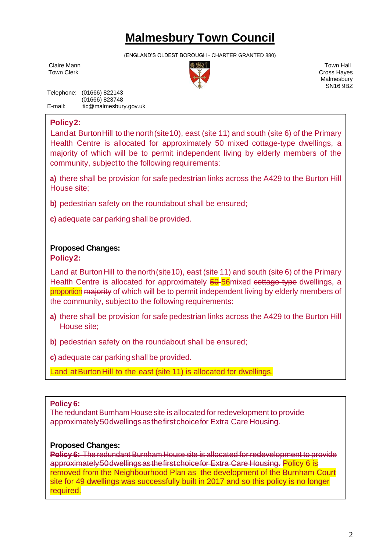(ENGLAND'S OLDEST BOROUGH - CHARTER GRANTED 880)



Claire Mann Town Hall Town Clerk Cross Hayes **Cross Hayes** Cross Hayes **Cross Hayes** Cross Hayes **Cross Hayes Malmesbury** SN16 9BZ

Telephone: (01666) 822143 (01666) 823748<br>E-mail: tic@malmeshur tic@malmesbury.gov.uk

### **Policy2:**

Landat BurtonHill to the north(site10), east (site 11) and south (site 6) of the Primary Health Centre is allocated for approximately 50 mixed cottage-type dwellings, a majority of which will be to permit independent living by elderly members of the community, subject to the following requirements:

**a)** there shall be provision for safe pedestrian links across the A429 to the Burton Hill House site;

**b)** pedestrian safety on the roundabout shall be ensured;

**c)** adequate car parking shall be provided.

### **Proposed Changes:**

### **Policy2:**

Land at Burton Hill to the north (site 10), east (site 11) and south (site 6) of the Primary Health Centre is allocated for approximately 50-56 mixed cottage-type dwellings, a proportion majority of which will be to permit independent living by elderly members of the community, subject to the following requirements:

- **a)** there shall be provision for safe pedestrian links across the A429 to the Burton Hill House site;
- **b)** pedestrian safety on the roundabout shall be ensured;

**c)** adequate car parking shall be provided.

Land at Burton Hill to the east (site 11) is allocated for dwellings.

### **Policy 6:**

The redundant Burnham House site is allocated for redevelopment to provide approximately50dwellingsasthefirstchoicefor Extra Care Housing.

### **Proposed Changes:**

**Policy 6:** The redundant Burnham House site is allocated for redevelopment to provide approximately50dwellingsasthefirstchoicefor Extra Care Housing. Policy 6 is removed from the Neighbourhood Plan as the development of the Burnham Court site for 49 dwellings was successfully built in 2017 and so this policy is no longer required.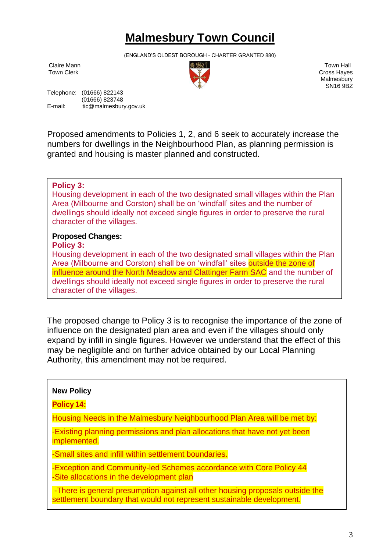(ENGLAND'S OLDEST BOROUGH - CHARTER GRANTED 880)



Claire Mann Town Hall Town Clerk Cross Hayes **Cross Hayes** Cross Hayes **Cross Hayes** Cross Hayes **Cross Hayes Malmesbury** SN16 9BZ

Telephone: (01666) 822143 (01666) 823748<br>E-mail: tic@malmeshur tic@malmesbury.gov.uk

Proposed amendments to Policies 1, 2, and 6 seek to accurately increase the numbers for dwellings in the Neighbourhood Plan, as planning permission is granted and housing is master planned and constructed.

#### **Policy 3:**

Housing development in each of the two designated small villages within the Plan Area (Milbourne and Corston) shall be on 'windfall' sites and the number of dwellings should ideally not exceed single figures in order to preserve the rural character of the villages.

#### **Proposed Changes:**

#### **Policy 3:**

Housing development in each of the two designated small villages within the Plan Area (Milbourne and Corston) shall be on 'windfall' sites **outside the zone of** influence around the North Meadow and Clattinger Farm SAC and the number of dwellings should ideally not exceed single figures in order to preserve the rural character of the villages.

The proposed change to Policy 3 is to recognise the importance of the zone of influence on the designated plan area and even if the villages should only expand by infill in single figures. However we understand that the effect of this may be negligible and on further advice obtained by our Local Planning Authority, this amendment may not be required.

## **New Policy Policy 14:** Housing Needs in the Malmesbury Neighbourhood Plan Area will be met by: -Existing planning permissions and plan allocations that have not yet been implemented. -Small sites and infill within settlement boundaries. -Exception and Community-led Schemes accordance with Core Policy 44 -Site allocations in the development plan -There is general presumption against all other housing proposals outside the

settlement boundary that would not represent sustainable development.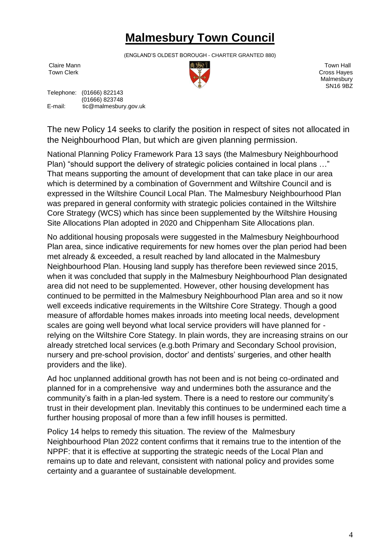(ENGLAND'S OLDEST BOROUGH - CHARTER GRANTED 880)



Claire Mann Town Hall Town Clerk Cross Hayes **Cross Hayes** Cross Hayes **Cross Hayes** Cross Hayes **Cross Hayes Malmesbury** SN16 9BZ

Telephone: (01666) 822143 01666) 823748)<br>E-mail: tic@malmesbur tic@malmesbury.gov.uk

The new Policy 14 seeks to clarify the position in respect of sites not allocated in the Neighbourhood Plan, but which are given planning permission.

National Planning Policy Framework Para 13 says (the Malmesbury Neighbourhood Plan) "should support the delivery of strategic policies contained in local plans …" That means supporting the amount of development that can take place in our area which is determined by a combination of Government and Wiltshire Council and is expressed in the Wiltshire Council Local Plan. The Malmesbury Neighbourhood Plan was prepared in general conformity with strategic policies contained in the Wiltshire Core Strategy (WCS) which has since been supplemented by the Wiltshire Housing Site Allocations Plan adopted in 2020 and Chippenham Site Allocations plan.

No additional housing proposals were suggested in the Malmesbury Neighbourhood Plan area, since indicative requirements for new homes over the plan period had been met already & exceeded, a result reached by land allocated in the Malmesbury Neighbourhood Plan. Housing land supply has therefore been reviewed since 2015, when it was concluded that supply in the Malmesbury Neighbourhood Plan designated area did not need to be supplemented. However, other housing development has continued to be permitted in the Malmesbury Neighbourhood Plan area and so it now well exceeds indicative requirements in the Wiltshire Core Strategy. Though a good measure of affordable homes makes inroads into meeting local needs, development scales are going well beyond what local service providers will have planned for relying on the Wiltshire Core Stategy. In plain words, they are increasing strains on our already stretched local services (e.g.both Primary and Secondary School provision, nursery and pre-school provision, doctor' and dentists' surgeries, and other health providers and the like).

Ad hoc unplanned additional growth has not been and is not being co-ordinated and planned for in a comprehensive way and undermines both the assurance and the community's faith in a plan-led system. There is a need to restore our community's trust in their development plan. Inevitably this continues to be undermined each time a further housing proposal of more than a few infill houses is permitted.

Policy 14 helps to remedy this situation. The review of the Malmesbury Neighbourhood Plan 2022 content confirms that it remains true to the intention of the NPPF: that it is effective at supporting the strategic needs of the Local Plan and remains up to date and relevant, consistent with national policy and provides some certainty and a guarantee of sustainable development.